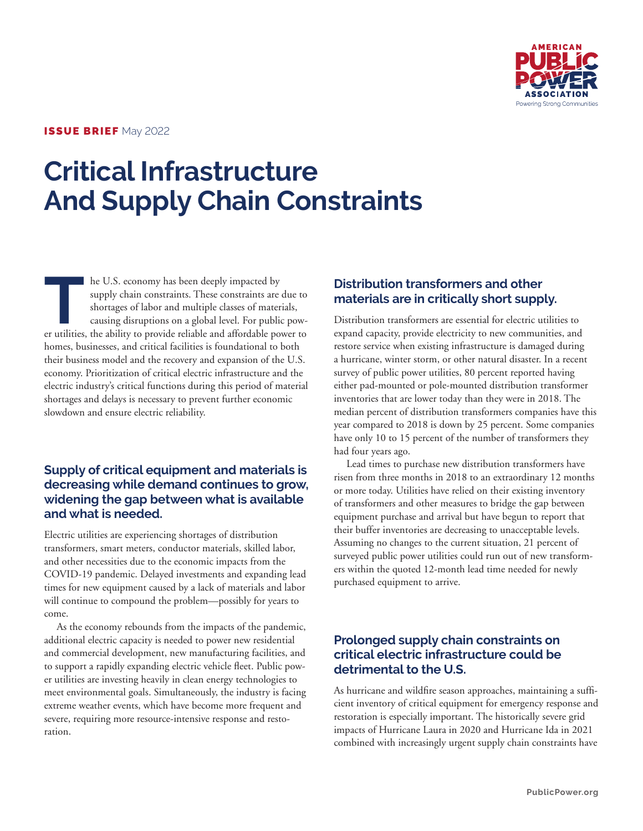

#### ISSUE BRIEF May 2022

# **Critical Infrastructure And Supply Chain Constraints**

**THE TENN SET ASSESS** THE U.S. economy has been deeply impacted by supply chain constraints. These constraints are shortages of labor and multiple classes of mater causing disruptions on a global level. For public er utili supply chain constraints. These constraints are due to shortages of labor and multiple classes of materials, causing disruptions on a global level. For public power utilities, the ability to provide reliable and affordable power to homes, businesses, and critical facilities is foundational to both their business model and the recovery and expansion of the U.S. economy. Prioritization of critical electric infrastructure and the electric industry's critical functions during this period of material shortages and delays is necessary to prevent further economic slowdown and ensure electric reliability.

### **Supply of critical equipment and materials is decreasing while demand continues to grow, widening the gap between what is available and what is needed.**

Electric utilities are experiencing shortages of distribution transformers, smart meters, conductor materials, skilled labor, and other necessities due to the economic impacts from the COVID-19 pandemic. Delayed investments and expanding lead times for new equipment caused by a lack of materials and labor will continue to compound the problem—possibly for years to come.

As the economy rebounds from the impacts of the pandemic, additional electric capacity is needed to power new residential and commercial development, new manufacturing facilities, and to support a rapidly expanding electric vehicle fleet. Public power utilities are investing heavily in clean energy technologies to meet environmental goals. Simultaneously, the industry is facing extreme weather events, which have become more frequent and severe, requiring more resource-intensive response and restoration.

## **Distribution transformers and other materials are in critically short supply.**

Distribution transformers are essential for electric utilities to expand capacity, provide electricity to new communities, and restore service when existing infrastructure is damaged during a hurricane, winter storm, or other natural disaster. In a recent survey of public power utilities, 80 percent reported having either pad-mounted or pole-mounted distribution transformer inventories that are lower today than they were in 2018. The median percent of distribution transformers companies have this year compared to 2018 is down by 25 percent. Some companies have only 10 to 15 percent of the number of transformers they had four years ago.

Lead times to purchase new distribution transformers have risen from three months in 2018 to an extraordinary 12 months or more today. Utilities have relied on their existing inventory of transformers and other measures to bridge the gap between equipment purchase and arrival but have begun to report that their buffer inventories are decreasing to unacceptable levels. Assuming no changes to the current situation, 21 percent of surveyed public power utilities could run out of new transformers within the quoted 12-month lead time needed for newly purchased equipment to arrive.

### **Prolonged supply chain constraints on critical electric infrastructure could be detrimental to the U.S.**

As hurricane and wildfire season approaches, maintaining a sufficient inventory of critical equipment for emergency response and restoration is especially important. The historically severe grid impacts of Hurricane Laura in 2020 and Hurricane Ida in 2021 combined with increasingly urgent supply chain constraints have